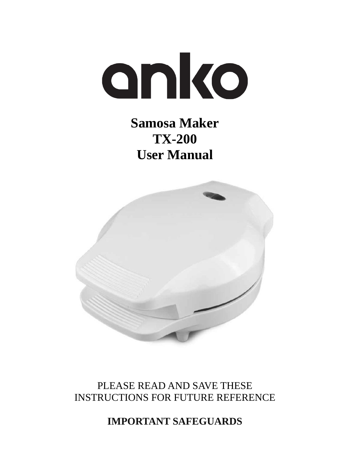

**Samosa Maker TX-200 User Manual**



PLEASE READ AND SAVE THESE INSTRUCTIONS FOR FUTURE REFERENCE

**IMPORTANT SAFEGUARDS**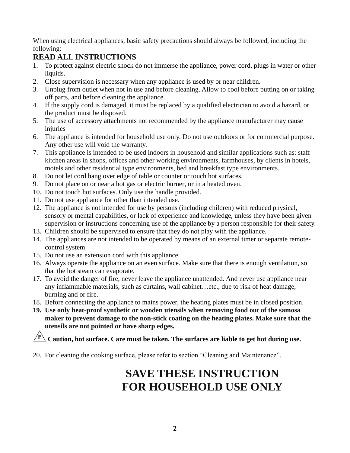When using electrical appliances, basic safety precautions should always be followed, including the following:

## **READ ALL INSTRUCTIONS**

- 1. To protect against electric shock do not immerse the appliance, power cord, plugs in water or other liquids.
- 2. Close supervision is necessary when any appliance is used by or near children.
- 3. Unplug from outlet when not in use and before cleaning. Allow to cool before putting on or taking off parts, and before cleaning the appliance.
- 4. If the supply cord is damaged, it must be replaced by a qualified electrician to avoid a hazard, or the product must be disposed.
- 5. The use of accessory attachments not recommended by the appliance manufacturer may cause injuries
- 6. The appliance is intended for household use only. Do not use outdoors or for commercial purpose. Any other use will void the warranty.
- 7. This appliance is intended to be used indoors in household and similar applications such as: staff kitchen areas in shops, offices and other working environments, farmhouses, by clients in hotels, motels and other residential type environments, bed and breakfast type environments.
- 8. Do not let cord hang over edge of table or counter or touch hot surfaces.
- 9. Do not place on or near a hot gas or electric burner, or in a heated oven.
- 10. Do not touch hot surfaces. Only use the handle provided.
- 11. Do not use appliance for other than intended use.
- 12. The appliance is not intended for use by persons (including children) with reduced physical, sensory or mental capabilities, or lack of experience and knowledge, unless they have been given supervision or instructions concerning use of the appliance by a person responsible for their safety.
- 13. Children should be supervised to ensure that they do not play with the appliance.
- 14. The appliances are not intended to be operated by means of an external timer or separate remotecontrol system
- 15. Do not use an extension cord with this appliance.
- 16. Always operate the appliance on an even surface. Make sure that there is enough ventilation, so that the hot steam can evaporate.
- 17. To avoid the danger of fire, never leave the appliance unattended. And never use appliance near any inflammable materials, such as curtains, wall cabinet…etc., due to risk of heat damage, burning and or fire.
- 18. Before connecting the appliance to mains power, the heating plates must be in closed position.
- **19. Use only heat-proof synthetic or wooden utensils when removing food out of the samosa maker to prevent damage to the non-stick coating on the heating plates. Make sure that the utensils are not pointed or have sharp edges.**

## **Caution, hot surface. Care must be taken. The surfaces are liable to get hot during use.**

20. For cleaning the cooking surface, please refer to section "Cleaning and Maintenance".

# **SAVE THESE INSTRUCTION FOR HOUSEHOLD USE ONLY**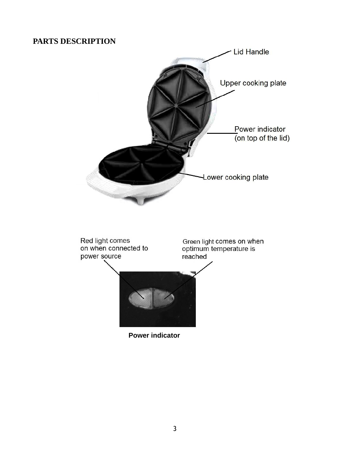### **PARTS DESCRIPTION**



 **Power indicator**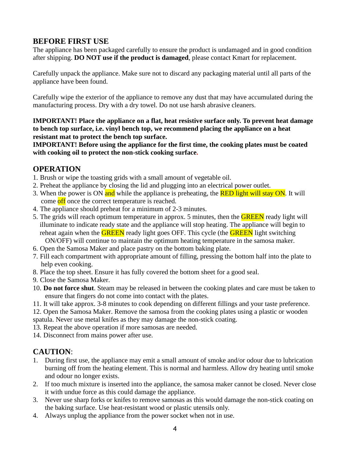## **BEFORE FIRST USE**

The appliance has been packaged carefully to ensure the product is undamaged and in good condition after shipping. **DO NOT use if the product is damaged**, please contact Kmart for replacement.

Carefully unpack the appliance. Make sure not to discard any packaging material until all parts of the appliance have been found.

Carefully wipe the exterior of the appliance to remove any dust that may have accumulated during the manufacturing process. Dry with a dry towel. Do not use harsh abrasive cleaners.

**IMPORTANT! Place the appliance on a flat, heat resistive surface only. To prevent heat damage to bench top surface, i.e. vinyl bench top, we recommend placing the appliance on a heat resistant mat to protect the bench top surface.**

**IMPORTANT! Before using the appliance for the first time, the cooking plates must be coated with cooking oil to protect the non-stick cooking surface.** 

#### **OPERATION**

- 1. Brush or wipe the toasting grids with a small amount of vegetable oil.
- 2. Preheat the appliance by closing the lid and plugging into an electrical power outlet.
- 3. When the power is ON and while the appliance is preheating, the **RED light will stay ON**. It will come off once the correct temperature is reached.
- 4. The appliance should preheat for a minimum of 2-3 minutes.
- 5. The grids will reach optimum temperature in approx. 5 minutes, then the **GREEN** ready light will illuminate to indicate ready state and the appliance will stop heating. The appliance will begin to reheat again when the **GREEN** ready light goes OFF. This cycle (the **GREEN** light switching ON/OFF) will continue to maintain the optimum heating temperature in the samosa maker.
- 6. Open the Samosa Maker and place pastry on the bottom baking plate.
- 7. Fill each compartment with appropriate amount of filling, pressing the bottom half into the plate to help even cooking.
- 8. Place the top sheet. Ensure it has fully covered the bottom sheet for a good seal.
- 9. Close the Samosa Maker.
- 10. **Do not force shut**. Steam may be released in between the cooking plates and care must be taken to ensure that fingers do not come into contact with the plates.
- 11. It will take approx. 3-8 minutes to cook depending on different fillings and your taste preference.

12. Open the Samosa Maker. Remove the samosa from the cooking plates using a plastic or wooden spatula. Never use metal knifes as they may damage the non-stick coating.

- 13. Repeat the above operation if more samosas are needed.
- 14. Disconnect from mains power after use.

## **CAUTION**:

- 1. During first use, the appliance may emit a small amount of smoke and/or odour due to lubrication burning off from the heating element. This is normal and harmless. Allow dry heating until smoke and odour no longer exists.
- 2. If too much mixture is inserted into the appliance, the samosa maker cannot be closed. Never close it with undue force as this could damage the appliance.
- 3. Never use sharp forks or knifes to remove samosas as this would damage the non-stick coating on the baking surface. Use heat-resistant wood or plastic utensils only.
- 4. Always unplug the appliance from the power socket when not in use.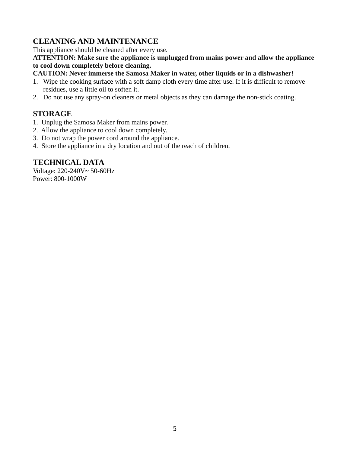## **CLEANING AND MAINTENANCE**

This appliance should be cleaned after every use.

**ATTENTION: Make sure the appliance is unplugged from mains power and allow the appliance to cool down completely before cleaning.** 

#### **CAUTION: Never immerse the Samosa Maker in water, other liquids or in a dishwasher!**

- 1. Wipe the cooking surface with a soft damp cloth every time after use. If it is difficult to remove residues, use a little oil to soften it.
- 2. Do not use any spray-on cleaners or metal objects as they can damage the non-stick coating.

## **STORAGE**

- 1.Unplug the Samosa Maker from mains power.
- 2. Allow the appliance to cool down completely.
- 3. Do not wrap the power cord around the appliance.
- 4. Store the appliance in a dry location and out of the reach of children.

#### **TECHNICAL DATA**

Voltage: 220-240V~ 50-60Hz Power: 800-1000W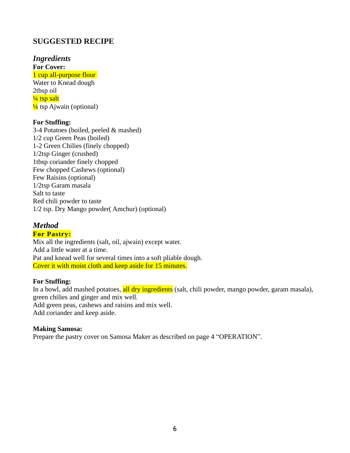#### **SUGGESTED RECIPE**

#### *Ingredients* **For Cover:**

1 cup all-purpose flour

Water to Knead dough 2tbsp oil  $\frac{1}{4}$  tsp salt  $\frac{1}{4}$  tsp Ajwain (optional)

#### **For Stuffing:**

3-4 Potatoes (boiled, peeled & mashed) 1/2 cup Green Peas (boiled) 1-2 Green Chilies (finely chopped) 1/2tsp Ginger (crushed) 1tbsp coriander finely chopped Few chopped Cashews (optional) Few Raisins (optional) 1/2tsp Garam masala Salt to taste Red chili powder to taste 1/2 tsp. Dry Mango powder( Amchur) (optional)

#### *Method*

#### **For Pastry:**

Mix all the ingredients (salt, oil, ajwain) except water. Add a little water at a time. Pat and knead well for several times into a soft pliable dough. Cover it with moist cloth and keep aside for 15 minutes.

#### **For Stuffing:**

In a bowl, add mashed potatoes, all dry ingredients (salt, chili powder, mango powder, garam masala), green chilies and ginger and mix well.

Add green peas, cashews and raisins and mix well. Add coriander and keep aside.

#### **Making Samosa:**

Prepare the pastry cover on Samosa Maker as described on page 4 "OPERATION".